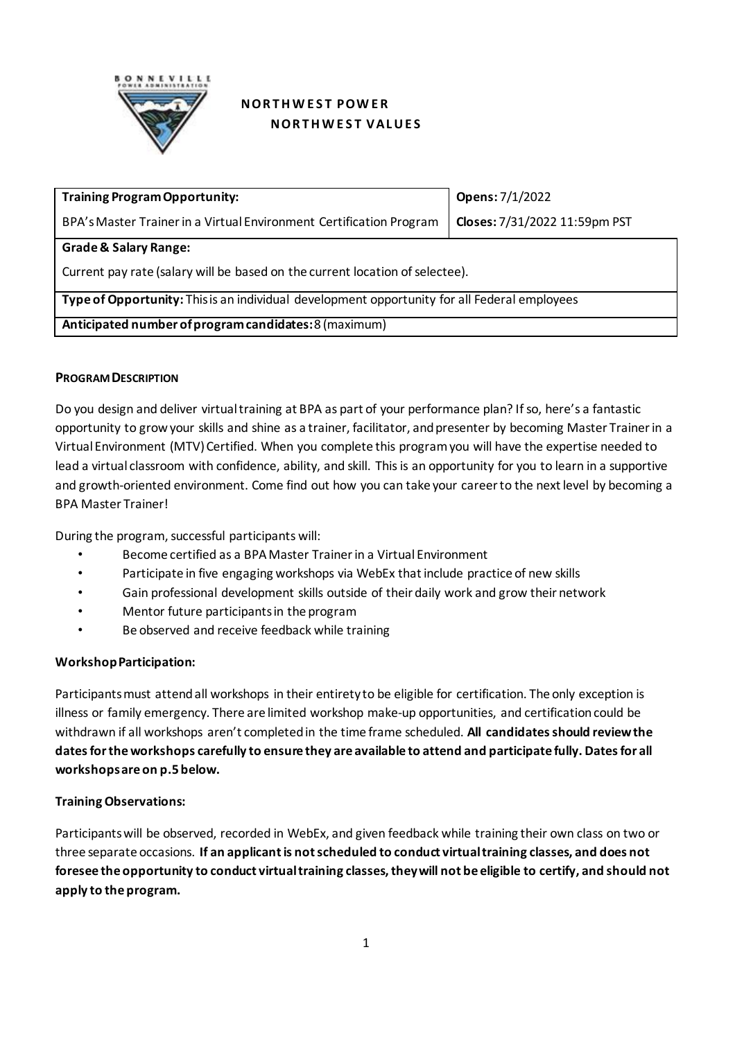

# **NORTHWEST POWER NORTHWEST VALUES**

| <b>Training Program Opportunity:</b>                                                         | Opens: 7/1/2022               |  |  |  |
|----------------------------------------------------------------------------------------------|-------------------------------|--|--|--|
| BPA's Master Trainer in a Virtual Environment Certification Program                          | Closes: 7/31/2022 11:59pm PST |  |  |  |
| <b>Grade &amp; Salary Range:</b>                                                             |                               |  |  |  |
| Current pay rate (salary will be based on the current location of selectee).                 |                               |  |  |  |
| Type of Opportunity: This is an individual development opportunity for all Federal employees |                               |  |  |  |
| Anticipated number of program candidates: 8 (maximum)                                        |                               |  |  |  |

### **PROGRAM DESCRIPTION**

Do you design and deliver virtualtraining at BPA as part of your performance plan? If so, here's a fantastic opportunity to grow your skills and shine as a trainer, facilitator, and presenter by becoming Master Trainer in a Virtual Environment (MTV) Certified. When you complete this program you will have the expertise needed to lead a virtual classroom with confidence, ability, and skill. This is an opportunity for you to learn in a supportive and growth-oriented environment. Come find out how you can take your career to the next level by becoming a BPA Master Trainer!

During the program, successful participants will:

- Become certified as a BPA Master Trainer in a Virtual Environment
- Participate in five engaging workshops via WebEx that include practice of new skills
- Gain professional development skills outside of their daily work and grow their network
- Mentor future participants in the program
- Be observed and receive feedback while training

### **Workshop Participation:**

Participants must attend all workshops in their entirety to be eligible for certification. The only exception is illness or family emergency. There are limited workshop make-up opportunities, and certification could be withdrawn if all workshops aren't completed in the time frame scheduled. **All candidates should review the dates for the workshops carefully to ensure they are available to attend and participate fully. Dates for all workshops are on p.5 below.**

### **Training Observations:**

Participants will be observed, recorded in WebEx, and given feedback while training their own class on two or three separate occasions. **If an applicantis not scheduled to conduct virtual training classes, and does not foresee the opportunity to conduct virtualtraining classes, they will not be eligible to certify, and should not apply to the program.**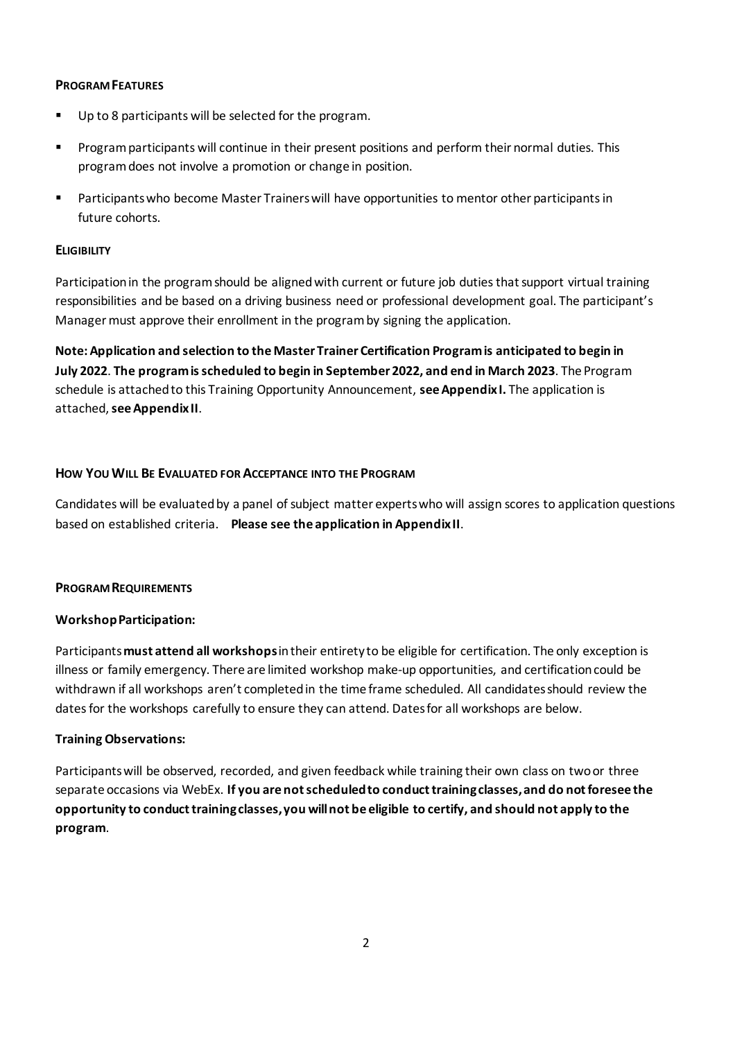### **PROGRAM FEATURES**

- Up to 8 participants will be selected for the program.
- **Program participants will continue in their present positions and perform their normal duties. This** program does not involve a promotion or change in position.
- Participants who become Master Trainerswill have opportunities to mentor other participantsin future cohorts.

### **ELIGIBILITY**

Participation in the programshould be aligned with current or future job duties that support virtual training responsibilities and be based on a driving business need or professional development goal. The participant's Manager must approve their enrollment in the program by signing the application.

**Note: Application and selection to the Master Trainer Certification Program is anticipated to begin in July 2022**. **The program is scheduled to begin in September 2022, and end in March 2023**. The Program schedule is attached to this Training Opportunity Announcement, **see Appendix I.** The application is attached, **see Appendix II**.

### **HOW YOU WILL BE EVALUATED FOR ACCEPTANCE INTO THE PROGRAM**

Candidates will be evaluated by a panel of subject matter experts who will assign scores to application questions based on established criteria. **Please see the application in Appendix II**.

### **PROGRAM REQUIREMENTS**

# **Workshop Participation:**

Participants **must attend all workshops**in their entirety to be eligible for certification. The only exception is illness or family emergency. There are limited workshop make-up opportunities, and certification could be withdrawn if all workshops aren't completed in the time frame scheduled. All candidates should review the dates for the workshops carefully to ensure they can attend. Dates for all workshops are below.

### **Training Observations:**

Participants will be observed, recorded, and given feedback while training their own class on two or three separate occasions via WebEx. **If you are not scheduled to conduct training classes, and do not foresee the opportunity to conduct training classes, you will not be eligible to certify, and should not apply to the program**.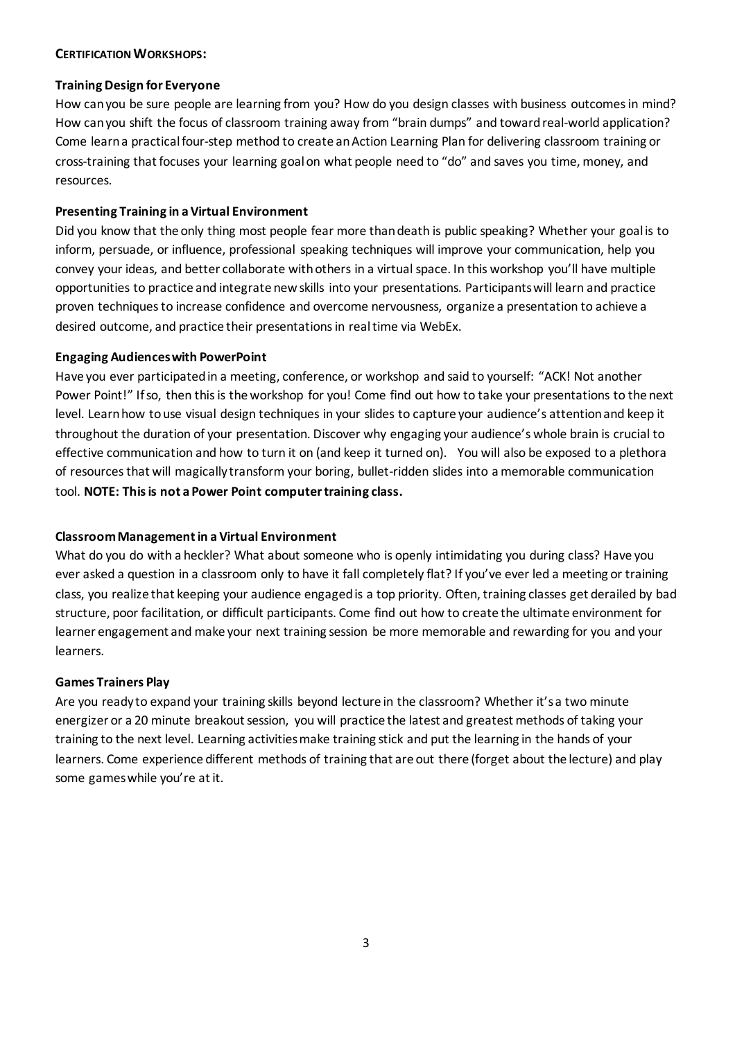#### **CERTIFICATION WORKSHOPS:**

### **Training Design for Everyone**

How can you be sure people are learning from you? How do you design classes with business outcomes in mind? How can you shift the focus of classroom training away from "brain dumps" and toward real-world application? Come learn a practical four-step method to create an Action Learning Plan for delivering classroom training or cross-training that focuses your learning goal on what people need to "do" and saves you time, money, and resources.

### **Presenting Training in a Virtual Environment**

Did you know that the only thing most people fear more than death is public speaking? Whether your goal is to inform, persuade, or influence, professional speaking techniques will improve your communication, help you convey your ideas, and better collaborate with others in a virtual space. In this workshop you'll have multiple opportunities to practice and integrate new skills into your presentations. Participants will learn and practice proven techniques to increase confidence and overcome nervousness, organize a presentation to achieve a desired outcome, and practice their presentations in real time via WebEx.

### **Engaging Audiences with PowerPoint**

Have you ever participated in a meeting, conference, or workshop and said to yourself: "ACK! Not another Power Point!" If so, then this is the workshop for you! Come find out how to take your presentations to the next level. Learn how to use visual design techniques in your slides to capture your audience's attention and keep it throughout the duration of your presentation. Discover why engaging your audience's whole brain is crucial to effective communication and how to turn it on (and keep it turned on). You will also be exposed to a plethora of resources that will magically transform your boring, bullet-ridden slides into a memorable communication tool. **NOTE: This is not a Power Point computer training class.**

# **Classroom Management in a Virtual Environment**

What do you do with a heckler? What about someone who is openly intimidating you during class? Have you ever asked a question in a classroom only to have it fall completely flat? If you've ever led a meeting or training class, you realize that keeping your audience engaged is a top priority. Often, training classes get derailed by bad structure, poor facilitation, or difficult participants. Come find out how to create the ultimate environment for learner engagement and make your next training session be more memorable and rewarding for you and your learners.

### **Games Trainers Play**

Are you ready to expand your training skills beyond lecture in the classroom? Whether it's a two minute energizer or a 20 minute breakout session, you will practice the latest and greatest methods of taking your training to the next level. Learning activitiesmake training stick and put the learning in the hands of your learners. Come experience different methods of training that are out there (forget about the lecture) and play some games while you're at it.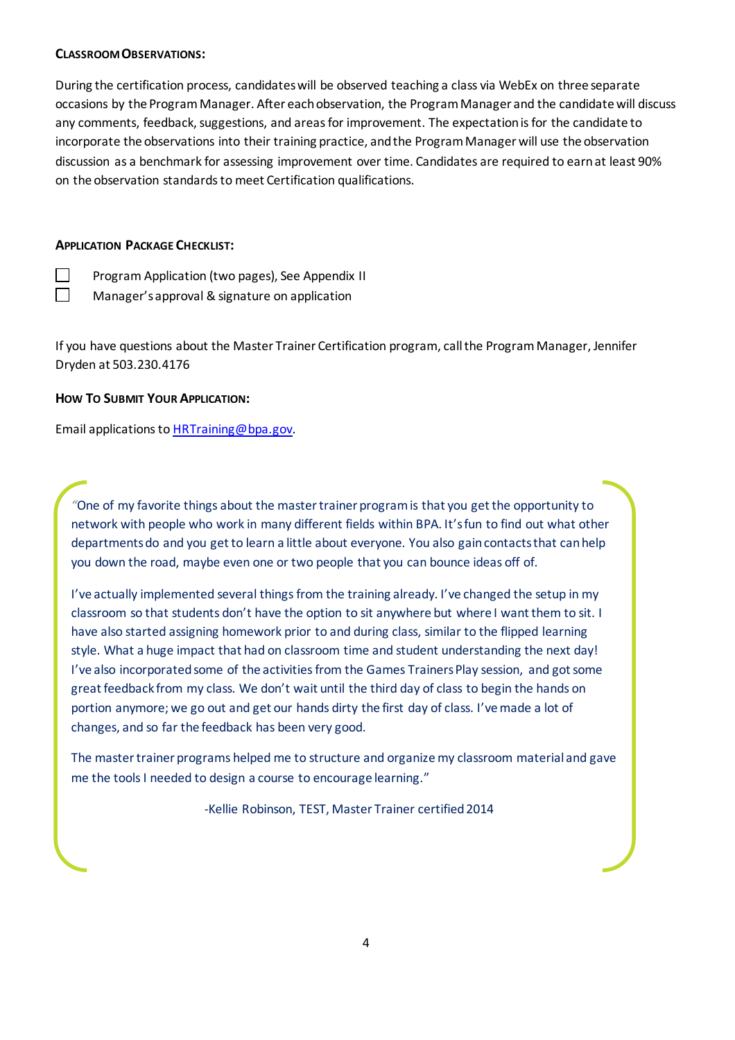#### **CLASSROOM OBSERVATIONS:**

During the certification process, candidates will be observed teaching a class via WebEx on three separate occasions by the Program Manager. After each observation, the Program Manager and the candidate will discuss any comments, feedback, suggestions, and areas for improvement. The expectation is for the candidate to incorporate the observations into their training practice, and the Program Manager will use the observation discussion as a benchmark for assessing improvement over time. Candidates are required to earn at least 90% on the observation standards to meet Certification qualifications.

### **APPLICATION PACKAGE CHECKLIST:**

 $\Box$ 

**Program Application (two pages), See Appendix II** Manager's approval & signature on application

If you have questions about the Master Trainer Certification program, call the Program Manager, Jennifer Dryden at 503.230.4176

### **HOW TO SUBMIT YOUR APPLICATION:**

Email applications to [HRTraining@bpa.gov.](mailto:HRTraining@bpa.gov?subject=Master%20Trainer%20Virtual%20Application)

*"*One of my favorite things about the master trainer program is that you get the opportunity to network with people who work in many different fields within BPA. It's fun to find out what other departments do and you get to learn a little about everyone. You also gain contacts that can help you down the road, maybe even one or two people that you can bounce ideas off of.

I've actually implemented several things from the training already. I've changed the setup in my classroom so that students don't have the option to sit anywhere but where I want them to sit. I have also started assigning homework prior to and during class, similar to the flipped learning style. What a huge impact that had on classroom time and student understanding the next day! I've also incorporated some of the activities from the Games Trainers Play session, and got some great feedback from my class. We don't wait until the third day of class to begin the hands on portion anymore; we go out and get our hands dirty the first day of class. I've made a lot of changes, and so far the feedback has been very good.

The master trainer programs helped me to structure and organize my classroom material and gave me the tools I needed to design a course to encourage learning."

-Kellie Robinson, TEST, Master Trainer certified 2014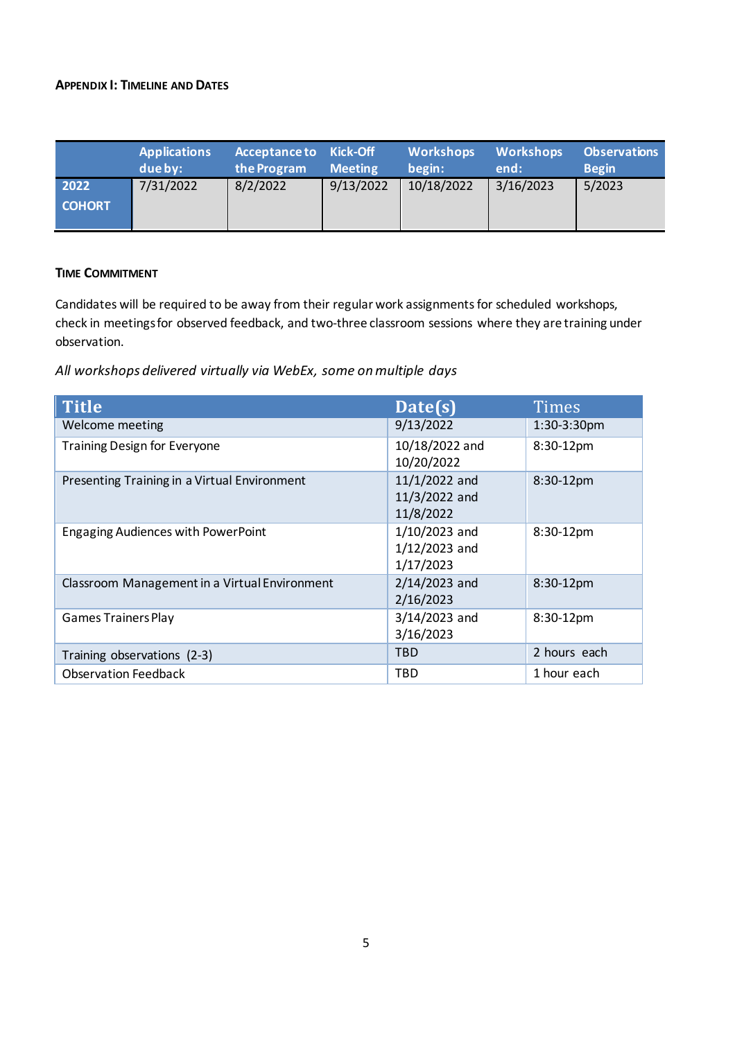### **APPENDIX I: TIMELINE AND DATES**

|                       | <b>Applications</b><br>due by: | Acceptance to Kick-Off<br>the Program | <b>Meeting</b> | Workshops<br>begin: | <b>Workshops</b><br>end: | <b>Observations</b><br><b>Begin</b> |
|-----------------------|--------------------------------|---------------------------------------|----------------|---------------------|--------------------------|-------------------------------------|
| 2022<br><b>COHORT</b> | 7/31/2022                      | 8/2/2022                              | 9/13/2022      | 10/18/2022          | 3/16/2023                | 5/2023                              |

## **TIME COMMITMENT**

Candidates will be required to be away from their regular work assignments for scheduled workshops, check in meetings for observed feedback, and two-three classroom sessions where they are training under observation.

*All workshops delivered virtually via WebEx, some on multiple days*

| <b>Title</b>                                  | Date(s)                                         | Times        |
|-----------------------------------------------|-------------------------------------------------|--------------|
| Welcome meeting                               | 9/13/2022                                       | 1:30-3:30pm  |
| <b>Training Design for Everyone</b>           | 10/18/2022 and<br>10/20/2022                    | 8:30-12pm    |
| Presenting Training in a Virtual Environment  | 11/1/2022 and<br>11/3/2022 and<br>11/8/2022     | 8:30-12pm    |
| <b>Engaging Audiences with PowerPoint</b>     | $1/10/2023$ and<br>$1/12/2023$ and<br>1/17/2023 | 8:30-12pm    |
| Classroom Management in a Virtual Environment | $2/14/2023$ and<br>2/16/2023                    | 8:30-12pm    |
| <b>Games Trainers Play</b>                    | 3/14/2023 and<br>3/16/2023                      | 8:30-12pm    |
| Training observations (2-3)                   | <b>TBD</b>                                      | 2 hours each |
| <b>Observation Feedback</b>                   | TBD                                             | 1 hour each  |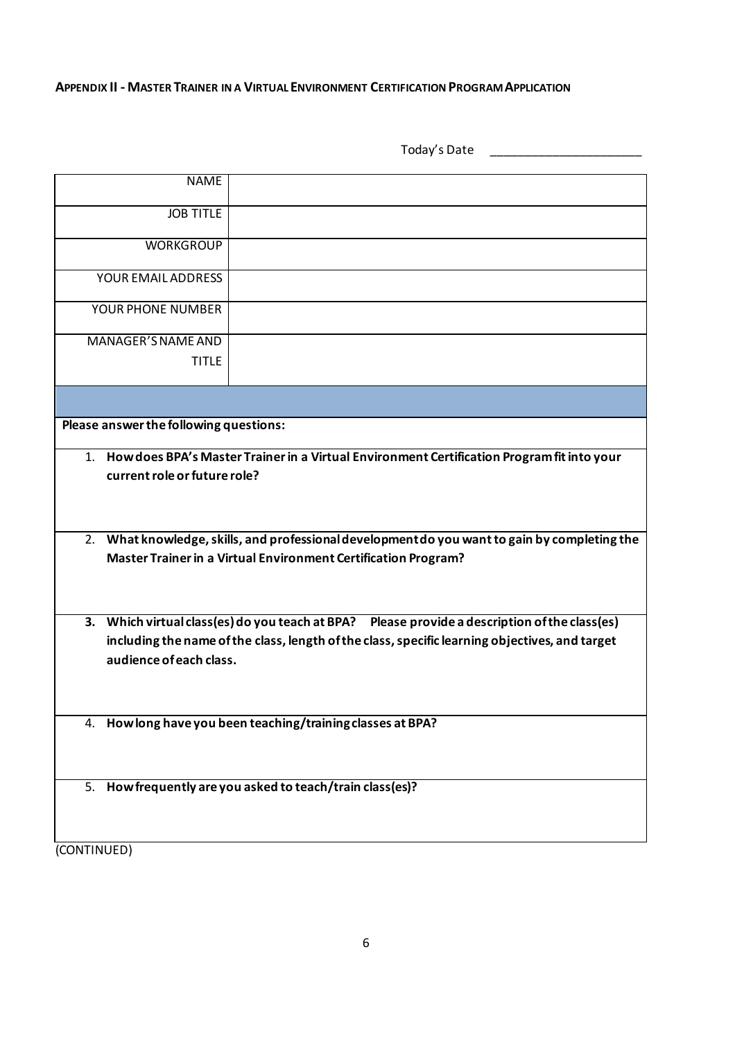#### **APPENDIX II - MASTER TRAINER IN A VIRTUAL ENVIRONMENT CERTIFICATION PROGRAM APPLICATION**

|                                        | Today's Date                                                                                                                                                                                                                                                     |
|----------------------------------------|------------------------------------------------------------------------------------------------------------------------------------------------------------------------------------------------------------------------------------------------------------------|
| <b>NAME</b>                            |                                                                                                                                                                                                                                                                  |
| <b>JOB TITLE</b>                       |                                                                                                                                                                                                                                                                  |
| <b>WORKGROUP</b>                       |                                                                                                                                                                                                                                                                  |
| YOUR EMAIL ADDRESS                     |                                                                                                                                                                                                                                                                  |
| YOUR PHONE NUMBER                      |                                                                                                                                                                                                                                                                  |
| MANAGER'S NAME AND<br><b>TITLE</b>     |                                                                                                                                                                                                                                                                  |
|                                        |                                                                                                                                                                                                                                                                  |
| Please answer the following questions: |                                                                                                                                                                                                                                                                  |
| current role or future role?           | 1. How does BPA's Master Trainer in a Virtual Environment Certification Program fit into your<br>2. What knowledge, skills, and professional development do you want to gain by completing the<br>Master Trainer in a Virtual Environment Certification Program? |
| 3.<br>audience of each class.          | Which virtual class (es) do you teach at BPA?  Please provide a description of the class (es)<br>including the name of the class, length of the class, specific learning objectives, and target                                                                  |
|                                        | 4. How long have you been teaching/training classes at BPA?                                                                                                                                                                                                      |
|                                        | 5. How frequently are you asked to teach/train class(es)?                                                                                                                                                                                                        |
| (CONTINUED)                            |                                                                                                                                                                                                                                                                  |